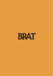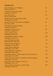## **SPARKLING**

| Pago de Tharsys, Cava 'Medusa',<br>Valencia, Spain NV                              | 38  |
|------------------------------------------------------------------------------------|-----|
| J. Laurens, Cremant de Limoux,<br>Languedoc, France NV                             | 52  |
| Stein, Rosé Secco,<br>Mosel, Germany 2019                                          | 63  |
| Michel Gonet, 'Fravaux' Blanc de Noir,<br>Champagne, France NV                     | 84  |
| Domaine Tissot, Cremant de Jura 'Indigene',<br>Jura, France 2020                   | 87  |
| Colet Navazos, Classic Penedes,<br>Catalunya, Spain 2017                           | 87  |
| Hambledon, Classic Cuvee,<br>Hampshire, England NV                                 | 86  |
| Gaston Chiquet, Rosé,<br>Champagne, France NV                                      | 101 |
| Pierre Baillette, Brut 'Le Village',<br>Champagne, France NV                       | 106 |
| Ancre Hill, Blanc de Noirs,<br>Monmouthshire, Wales NV                             | 110 |
| Marie Courtin, 'Resonance',<br>Champagne, France 2018                              | 114 |
| Leclerc Briant, Millésime,<br>Champagne, France 2014                               | 131 |
| Francis Boullard, 'Le Rachais',<br>Champagne, France 2011                          | 162 |
| Larmandier-Bernier, 'Vieille Vigne du Levant' Grand Cru,<br>Champagne, France 2011 | 179 |
| Ulysse Collins, Extra Brut 'Les Maillons' Rosé de Saignée,<br>Champagne, France NV | 188 |
| Egly-Ouriet, Brut 'Tradition' Grand Cru,<br>Champagne, France NV                   | 194 |
| Ulysse Collins, Extra Brut 'Les Enfers' 60m,<br>Champagne, France NV               | 207 |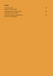# **ROS É**

| Triennes, Rosé,                                        | 45. |
|--------------------------------------------------------|-----|
| Provence, France 2020                                  |     |
| Thymiopoulos, Naoussa Rosé,<br>Macedonia, Greece 2020  | 45. |
| Domaine Tempier, Bandol Rosé,<br>Provence, France 2020 | 90  |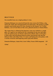#### **BRAT POUR**

**Our monthly focus on a single producer's wine.**

**Domaine Belargus was conceived from the wine estate of Jo Pithon, a legend in the Anjou, but reinvigorated by Ivan Massonat. The property is built around a spectacular parcel of vines situated on the famous 'Les Treilles' hillside, a sort of Côte Rotie of the Loire, planted entirely to Chenin Blanc.**

**The Anjou Noir is a blend of the domaine's vines not vinified as a single plots. It is aged in vats and barrels for a minimum of one year and represents the quintessence of Chenin cultivated on black schist. In the glass it offers pure and refreshing mineral aromas intermixed with ripe but delicate white and yellow fruits. It is juicy and balanced on the palate, with a serious structure and lingering tannic grip and salinity.**

**Domaine Belargus, Anjou Noir, Loire Valley, France 2018 (magnum) 119**

**125ml 12**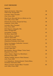## *EASY DRINKERS*

## **WHITE**

| Quinta do Ermizio, 'Chin Chin',<br>Vinho Verde, Portugal 2021                   | 28 |
|---------------------------------------------------------------------------------|----|
| Lyrarakis, Dafni 'Psarades',<br>Crete, Greece 2020                              | 38 |
| Haut Fevrei, Muscadet Sèvre-et-Maine sur Lie,<br>Loire Valley, France 2020      | 38 |
| Domaine de Lauriers, Picpoul de Pinet,<br>Languedoc, France 2020                | 38 |
| Lyrarakis, Plyto 'Psarades',<br>Crete, Greece 2020                              | 40 |
| Dirk Niepoort, Morgadio 'MC,<br>Douro, Portugal 2019                            | 41 |
| Gorrondona, Txakoli,<br>Pais Basco, Spain 2020                                  | 43 |
| Celler de Roure, 'Cullerot',<br>Valencia, Spain 2020                            | 45 |
| Tetramythos, Roditis 'Nature',<br>Peleponnese Peninsula, Greece 2020            | 47 |
| Pietro Cacciorgana, Verdicchio 'Consono',<br>Marche, Italy 2020                 | 50 |
| Can Sumoi, Xarel-lo,<br>Penedes, Spain 2021                                     | 56 |
| Bret Brothers, Macon-Villages 'Treize Vents',<br><b>Burgundy, France 2018</b>   | 58 |
| Chavy-Chouet, Aligoté 'Les Maréchaux',<br><b>Burgundy, France 2020</b>          | 60 |
| Thomas Labaille, Sancerre 'Mont Damnes',<br>Loire, France 2020                  | 73 |
| A.A. Badenhorst, 'Kalmoesfontein' Chenin Blanc,<br>Swartland, South Africa 2018 | 72 |
| Thierry Germain, Saumur Blanc Tinsolite'<br>Loire Valley, France 2020           | 83 |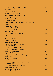## **RED**

| Gonzalo Gonzalo, Tinto 'Gran Cerdo',<br>Rioja, Spain 2021                     | 28 |
|-------------------------------------------------------------------------------|----|
| Gaznata, Garnacha,<br>Sierra de Gredos, Spain 2019                            | 35 |
| Telmo Rodriguez, Monastrell 'Al-Muvedre',<br>Alicante, Spain 2019             | 36 |
| Clos la Coutale, Cahors,<br>South West, France 2019                           | 38 |
| Ollieux Romanis, Corbieres Rouge 'Cuvee Classique',<br>Languedoc, France 2019 | 39 |
| Gravierette, 'Ju de Vie',<br>South West, France 2020                          | 42 |
| Casaretti, Bardolino 'La Nogara'<br>Veneto, Italy 2020                        | 43 |
| Solar de Ranze, Crianza 'Decenio',<br>Rioja, Spain 2016                       | 43 |
| Thymiopoulos, Naoussa 'Jeunes Vignes',<br>Macedonia, Greece 2020              | 45 |
| Guimaro, 'Tinto Joven',<br>Ribeira Sacra, Spain 2020                          | 47 |
| Roches Neuves, Saumur-Champigny,<br>Loire, France 2020                        | 54 |
| Herdade do Cebolal, 'Xisto Tinto',<br>Península de Setúbal, Portugal 2014     | 60 |
| Fatalone, Primitivo Riserva,<br>Puglia, Italy 2018                            | 60 |
| Bodegas Frontonio, Garnacha 'Telescopico',<br>Zaragoza, Spain 2017            | 63 |
| Moric, Blaufrankisch,<br>Burgenland, Austria 2018                             | 64 |
| Jean-Luc Jamet, Côtes du Rhône 'l'Enclave',<br>N. Rhône, France 2019          | 69 |
| Domaine de Galouchey, 'Vin de Jardin',<br>France, Boredeaux 2018              | 83 |
| Maxime Magnon, 'Rozeta',<br>Corbieres, France 2019                            | 84 |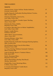### *THE CLASSICS*

## **WHITE**

| Domane Krems, Grüner Veltliner 'Rieden Selektion',<br>Kremstal, Austria 2020     | 37  |
|----------------------------------------------------------------------------------|-----|
| Koehler-Ruprecht, Kallstadter Riesling Kabinett Trocken,<br>Pfalz, Germany 2020  | 48  |
| Domaine Champalou, Vouvray Sec,<br>Loire Valley, France 2019                     | 51  |
| Domaine Leon Boesch, 'Grandes Lignes' Riesling,<br>Alsace, France 2020           | 52  |
| Domaine des Hates, Chablis,<br><b>Burgundy, France 2020</b>                      | 56  |
| Jo Landron, Muscadet Sèvre-et-Maine 'Amphibolite',<br>Loire Valley, France 2020  | 59  |
| Roagna, Langhe Bianco,<br>Piedmont, Italy 2017                                   | 64  |
| Albert Mann, Gewurztraminer,<br>Alsace, France 2019                              | 67  |
| Domaine Belargus, Anjou 'Noir',<br>Loire Valley, France 2020                     | 77  |
| Koehler-Ruprecht, Kallstadter-Saumagen Riesling Spätlese,<br>Pfalz, Germany 2016 | 77  |
| David Duband, Hautes Cotes de Nuits Blanc,<br>Burgundy, France 2020              | 84  |
| J.J. Prum, Riesling 'Wehlener Sonnenuhr' Kabinett,<br>Mosel, Germany 2016        | 86  |
| Lopez de Heredia, Reserva 'Tondonia' Blanco,<br>Rioja, Spain 2009                | 102 |
| Roulot, Bourgogne Blanc,<br><b>Burgundy, France 2019</b>                         | 108 |
| Martin Mutenthaler, Riesling 'Ried Bruck',<br>Wachau, Austria 2017               | 110 |
| Dard & Ribo, Crozes-Hermitage Blanc,<br>N. Rhône, France 2018                    | 112 |
| F. Cossard, Saint-Romain 'Combe Bazin',<br><b>Burgundy, France 2019</b>          | 112 |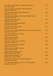| Eric Morgat, Anjou Blanc 'La Croisee des Chenins',<br>Loire, France 2017                     | 113 |
|----------------------------------------------------------------------------------------------|-----|
| Domaine Athenais, Chablis 1er 'Mont de Milieu',<br><b>Burgundy, France 2015</b>              | 119 |
| Domaine Paul Pernot, Puligny-Montrachet,<br>Burgundy, France 2018                            | 120 |
| Domaine Buisson-Battault, Meursault Vieilles Vignes,<br>Burgundy, France 2017                | 141 |
| Antoine Jobard, Meursault,<br><b>Burgundy, France 2019</b>                                   | 145 |
| Domaine Leflaive, Bourgogne Blanc,<br><b>Burgundy, France 2018</b>                           | 160 |
| Domaine de Chevalier, Graves,<br>Bordeaux, France 1994                                       | 161 |
| D. Chavy-Chouet, Puligy-Montrahet 1er Cru 'Les Champs Gain',<br><b>Burgundy, France 2019</b> | 162 |
| Dauvissat, Chablis 1er Cru 'Forest',<br><b>Burgundy, France 2018</b>                         | 181 |
| Roulot, Meursault Blanc,<br><b>Burgundy, France 2019</b>                                     | 185 |
| Dauvissat, Chablis 1er Cru 'Vaillons',<br><b>Burgundy, France 2018</b>                       | 186 |
| Dauvissat, Chablis 1er Cru 'Sechet',<br><b>Burgundy, France 2018</b>                         | 188 |
| Roulot, Meursault 'Meix-Chavaux',<br><b>Burgundy, France 2019</b>                            | 190 |
| Keller, Riesling 'Kirchpiel' GG,<br>Rheinhessen, Germany 2020                                | 216 |
| Keller, Riesling 'Hubacker' GG,<br>Rheinhessen, Germany 2020                                 | 238 |
| Roulot, Meursault 1er Cru 'Clos des Boucheres',<br><b>Burgundy, France 2019</b>              | 339 |
| P-Y Colin-Morey, Meursault 1er Cru 'Les Genevrières',<br>Burgundy, France 2005               | 410 |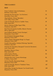### *THE CLASSICS*

## **RED**

| Franc Cardinal, Côtes-de-Bordeaux,<br>Bordeaux, France 2014                        | 55  |
|------------------------------------------------------------------------------------|-----|
| Domaine du Clos de Fees, 'Les Sorcieres',<br>Roussillon, France 2021               | 55  |
| Olga Raffault, Chinon 'Barnabes',<br>Loire Valley, France 2018                     | 60  |
| Lopez de Heredia, Reserva 'Cubillo' Tinto,<br>Rioja, Spain 2013                    | 59  |
| Brovia, Dolcetto d'Alba Vigna Villej,<br>Piedmonte, Italy 2015                     | 61  |
| Raul Perez & Antoine Graillot, Mencía 'Encina',<br>Bierzo, Spain 2017              | 68  |
| Jean Foillard, Morgon 'Cuvée Classique',<br>Beaujoulais, France 2019               | 70  |
| David Duband, Bourgogne Rouge,<br><b>Burgundy, France 2019</b>                     | 74  |
| Chavy-Chouet, Bourgogne Rouge 'La Taupe',<br><b>Burgundy, France 2019</b>          | 76  |
| Fratelli Alessandria, Verduno Pelaverga 'Speziale',<br>Piedmont, Italy 2017        | 76  |
| Domaine de Chevalerie, Bourgeuil 'Cuvée de Chevalerie',<br>Loire, France 2015      | 77  |
| Remelluri, Reserva Tinto,<br>Rioja, Spain 2013                                     | 84  |
| Julien Sunier, Fleurie,<br>Beaujoulais, France 2019                                | 84  |
| Domaine des Lises, Crozes-Hermitage,<br>N. Rhône, France 2019                      | 84  |
| Sylvain Pataille, Marsannay Rouge,<br><b>Burgundy, France 2018</b>                 | 103 |
| Lopez de Heredia, Reserva 'Tondonia' Tinto,<br>Rioja, Spain 2009                   | 107 |
| Simon Bize, Savigny-les-Beaune 'Les Grand Liards',<br><b>Burgundy, France 2014</b> | 109 |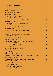| Kutch, Sonoma Coast Pinot Noir<br>California, USA 2018                                     | 112 |
|--------------------------------------------------------------------------------------------|-----|
| Domaine Tempier, Bandol Classique,<br>Provence, France 2016                                | 112 |
| Maison Chantereves, Volnay,<br><b>Burgundy, France 2013</b>                                | 113 |
| Château Meyney, Saint Estèphe,<br>Bordeaux, France 1989                                    | 123 |
| Cascina delle Rose, Barbaresco 'Tre Stelle',<br>Piedmonte, Italy 2019                      | 127 |
| Vieux Telegraphe, Chateauneuf-du-Pape,<br>S. Rhône, France 2015                            | 130 |
| Jules Desjourneys, Fleurie 'Les Moriers',<br>Beaujoulais, France 2014                      | 133 |
| Château Bel Air Marquis d'Aligré, Margaux,<br>Bordeaux, France 2001                        | 140 |
| Château Bel Air Marquis d'Aligré, Margaux,<br>Bordeaux, France 1995                        | 145 |
| Olga Raffault, Chinon 'Picasses',<br>Loire Valley, France 1989                             | 144 |
| David Duband, Morey-St-Denis 1er Cru 'Les Broc',<br>Burgundy, France 2019                  | 144 |
| Reynvaan, Syrah 'In the Hills',<br>Oregon, USA 2017                                        | 146 |
| Bernard Levet, Côte-Rôtie 'Maestria',<br>N. Rhône, France 2014                             | 149 |
| Olga Raffault, Chinon 'Picasses',<br>Loire Valley, France 1985                             | 152 |
| Domaine C. Perrot-Minot, Morey-St-Denis 'La Rue de Vergy',<br><b>Burgundy, France 2013</b> | 155 |
| David Duband, Nuits-St George 1er Cru 'Les Procès',<br>Burgundy, France 2018               | 160 |
| Dard & Ribo, Hermitage Rouge,<br>N. Rhône, France 2019                                     | 166 |
| Domaine Tempier, Bandol Classique,<br>Provence, France 2014 (magnum)                       | 175 |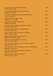| Jean-Louis Chave, Saint-Joseph Rouge,<br>N. Rhône, France 2017                          | 180  |
|-----------------------------------------------------------------------------------------|------|
| Corison, Napa Valley, Cabernet Sauvignon,<br>California, USA 2018                       | 185  |
| Il Paradiso di Manfredi, Brunello di Montalcino,<br>Tuscany, Italy 2013                 | 188  |
| Mas de Daumas Gassac, Rouge,<br>Languedoc, France 2009                                  | 196  |
| Luigi Odero, Barolo 'Vignarionda',<br>Piedmont, Italy 2001                              | 208  |
| Chateau Léoville-Poyferré, 2eme Cru, St-Julien,<br>Bordeaux, France 1996                | 216  |
| Cos d'Estournel, 2eme Cru, Saint-Estèphe,<br>Bordeaux, France 1980                      | 240  |
| Comtes Lafon, Volnay 'Santenots-du-Milieu',<br>Burgundy, France 2017                    | 257  |
| Keller, Spatburgunder 'Frauenberg' GG,<br>Rheinhessen', Germany 2019                    | 264  |
| Domaine Tempier, Bandol 'Cabassaou',<br>Provence, France 1996                           | 278  |
| J.-M. Fourrier, Vougeot 1er Cru 'Les Petits Vougeots',<br>Burgundy, France 2014         | 282  |
| J.-M. Fourrier, Gevrey-Chambertin 1er Cru 'Cherbaudes',<br><b>Burgundy, France 2014</b> | 296  |
| Simon Bize, Laticieres-Chambertin Grand Cru,<br>Burgundy, France 2012                   | 367  |
| Chateau Latour, 1eme Cru, Paulliac,<br>Bordeaux, France 1989                            | 1016 |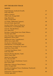## *OFF THE BEATEN TRACK*

#### **WHITE**

| Feudo Montoni, Inzolia de Fornelli,<br>Sicily, Italy 2018                  | 47 |
|----------------------------------------------------------------------------|----|
| Aphros, Loureiro,<br>Vinho Verde, Portugal 2020                            | 47 |
| Orgo, Rkatsiteli,<br>Telavi, Georgia 2019                                  | 55 |
| Ca' di Mat, Albillo Real 'Valautin',<br>Sierra de Gredos, Spain 2019       | 60 |
| Jaroslav Osička, Pinot Gris Reserva,<br>South Moravia, Czech Republic 2016 | 60 |
| Cota 45, 'Ube Miraflores',<br>Jerez, Spain 2019                            | 63 |
| Envinate, Ycoden-Daute-Isora 'Benje' Blanco,<br>Tenerife, Spain 2020       | 65 |
| Claus Preisinger, 'Kalk und Keisel',<br>Burgenland, Austria 2018           | 67 |
| Fedellos do Couto, 'Conasbrancas',<br>Ribeira Sacra, Spain 2020            | 69 |
| Ota Ševčik, Veltlinské Zelené,<br>South Moravia, Czech Republic 2019       | 70 |
| Lionel Osmin, Jurançon Sec 'Au Lavoir',<br>South West, France 2020         | 73 |
| I Custodi, Etna Bianco 'Ante',<br>Sicily, Italy 2018                       | 75 |
| Domaine Barmes-Beucher, 'Sand',<br>Alsace, France 2018                     | 79 |
| Marko Fon, Malvazija,<br>Kras, Slovenia 2019                               | 79 |
| Les Bottes Rouges, Chardonnay 'Castor',<br>Jura, France 2017               | 79 |
| Filipa Pato, Calacario 'Nossa' Branco,<br>Beiras, Portugal 2020            | 79 |
| Benedicte & Stephane Tissot, Chardonnay 'Patchwork',<br>Jura, France 2018  | 80 |
| Soagranorte, 'Sortevera' Blanco,<br>Tenerife, Spain 2019                   | 83 |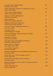| Le Soula, Côtes Catalanes Blanc,<br>Roussillon, France 2016                    | 84  |
|--------------------------------------------------------------------------------|-----|
| Vignes du Paradis, Chasselas 'Un Matin Face au Lac',<br>Savoie, France 2020    | 85  |
| Viuva Gomes, Collares Branco,<br>Collares, Portugal 2017 (500ml)               | 87  |
| Argyros, Assyrtiko 'Monsigniori',<br>Santorini, Greece 2018                    | 91  |
| Škerk, Malvazija,<br>Friuli-Venezia Giulia, Italy 2018                         | 91  |
| Radikon, Collio, Pinot Grigio 'Sivi',<br>Friuli-Venezia Giulia, Italy 2019     | 93  |
| Les Bottes Rouges, Chardonnay 'Pollock's',<br>Jura, France 2018                | 94  |
| La Stoppa, Ageno,<br>Emilia-Romagna, Italy 2016                                | 95  |
| Suertes del Marques, Valle de la Oratava 'Vidonia',<br>Tenerife, Spain 2020    | 99  |
| Hatzidakis, 'Nykteri',<br>Santorini, Greece 2019                               | 101 |
| The Sadie Family, Chenin Blanc 'Skurfberg',<br>Swartland, South Africa 2019    | 104 |
| Julien Courtois, 'Originel',<br>Loire Valley, France 2019                      | 105 |
| La Garagista, Loup d'Or,<br>Vermont, USA 2019                                  | 108 |
| Benedicte & Stephane Tissot, Chardonnay 'Les Bruyères',<br>Jura, France 2018   | 109 |
| Familia Nin-Ortiz, 'Terra Vermella de Nina',<br>Priorat, Spain 2017            | 112 |
| Domaine de la Tournelle, Arbois Vin Jaune,<br>Jura, France 2012                | 156 |
| Benedicte & Stephane Tissot, Arbois Vin Jaune 'La Vasée',<br>Jura, France 2014 | 163 |
| Emidio Pepe, Pecorino,<br>Abruzzo, Italy 2016                                  | 169 |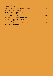| Emidio Pepe, Trebianno d'Abruzzo,<br>Abruzzo, Italy 2018                         | 169 |
|----------------------------------------------------------------------------------|-----|
| The Sadie Family, Chenin Blanc 'Mev. Kirsten'<br>Stellenbosch, South Africa 2019 | 184 |
| Le Soula, Côtes Catalanes Blanc,<br>Roussillon, France 2014 (magnum)             | 170 |
| Gravner, Oslavia, Ribolla Gialla,<br>Friuli-Venezia Giula, Italy 2009 (magnum)   | 217 |
| Emidio Pepe, Trebianno d'Abruzzo,<br>Abruzzo, Italy 2007                         | 324 |
| Jean-Francois. Ganevat, Cuvée Marguerite,<br>Jura, France 2016 (magnum)          | 400 |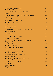## **RED**

| Ciu Ciu, Rosso Piceno Bacchus,<br>Marche, Italy 2020                                | 33 |
|-------------------------------------------------------------------------------------|----|
| Domaine du Cros, Marcillac 'Lo Sang del Pais',<br>Languedoc, France 2019            | 39 |
| Claus Preisinger, Neusiedlersee Zweigelt 'Kieselstein',<br>Burgenland, Austria 2020 | 49 |
| Envinate, Albahra,<br>Castilla-La Mancha, Spain 2020                                | 50 |
| Lyrarakis, Liatiko 'Aggelis',<br>Crete, Greece 2020                                 | 51 |
| Pianogrillo, Frapatto,<br>Sicily, Italy 2020                                        | 52 |
| Suertes del Marques, Valle de la Orotava '7 Fuentes',<br>Tenerife, Spain 2019       | 55 |
| Orgo, Saperavi,<br>Telavi, Georgia 2020                                             | 57 |
| Telmo Rodrigez, Pegaso 'Zeta',<br>Sierra de Gredos, Spain 2019                      | 58 |
| Pianogrillo, Cerasuolo di Vittoria 'Curva Minore',<br>Sicily, Italy 2020            | 60 |
| Sziegl-Pince, Bebel,<br><b>Borbíró Hungary 2020</b>                                 | 61 |
| Envinate, Lousas Vino de Aldea,<br>Ribeira Sacra, Spain 2019                        | 65 |
| Dalamara, Naoussa Xinomavro,<br>Macedonia, Greece 2019                              | 66 |
| Thymiopoulos, Rapsani 'Terra Petra',<br>Thessaly, Greece 2018                       | 71 |
| Eduardo Acosta, Etna Rosso 'Versante Nord',<br>Sicily, Italy 2017                   | 71 |
| Hervé Souhaut, Gamay 'Le Souteronne',<br>Ardeche, France 2018                       | 78 |
| Cos, Rosso 'Pithos',<br>Sicily, Italy 2016                                          | 81 |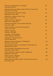| Envinate, Ycoden-Daute-Isora 'Migan',<br>Tenerife, Spain 2019                           | 84  |
|-----------------------------------------------------------------------------------------|-----|
| Domaine Sauveterre, Mâcon Gamay 'Noire de Creuse Noir',<br><b>Burgundy, France 2018</b> | 85  |
| Jules Desjourneys, Pinot Noir 'Songe',<br>Beaujoulais, France 2018                      | 85  |
| Filipa Pato, Calacario 'Nossa' Tinto,<br>Beiras, Portugal 2018                          | 86  |
| Fedellos do Couto, 'Bastarda',<br>Ribera Sacria, Spain 2018                             | 86  |
| Domaine de la Borde, Cote-de-Feule, Poulsard,<br>Jura, France 2020                      | 86  |
| Domaine Pignier, Côtes-du-Jura Trousseau<br>Arbois, France 2015                         | 87  |
| Foradori, 'Sgarzon',<br>Dolomites, Italy 2020                                           | 92  |
| La Stoppa, 'La Macchiona',<br>Emilia-Romagna, Italy 2013                                | 95  |
| Soagranorte, 'Sortevera' Tinto,<br>Tenerife, Spain 2019                                 | 96  |
| Dalamara, Naoussa Xinomavro 'Paliokalias',<br>Macedonia, Greece 2019                    | 101 |
| Claire Naudin, Hautes-Côte de Beaune 'Orchis Mascula',<br><b>Burgundy, France 2019</b>  | 108 |
| Claus Preisinger, Neusiedlersee Pinot Noir,<br>Burgenland, Austria 2019                 | 101 |
| Vignes du Maynes, Mâcon-Cruzille, 'Mânganite',<br>Burgundy, France 2018                 | 104 |
| Julien Courtois, 'Elements',<br>Loire Valley, France 2017                               | 105 |
| Domaine de la Tournelle, Arbois 'Trousseau des Corvées',<br>Jura, France 2015           | 112 |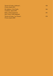| Terroir al Limit, 'Arbossar',<br>Priorat, Spain 2019<br>Els Jelipins, Vi de Taula,<br>Catalunya, Spain 2016 | 126 |
|-------------------------------------------------------------------------------------------------------------|-----|
|                                                                                                             | 166 |
| Rolet, Arbois Poulsard,<br>Jura, France 1990 (magnum)                                                       | 191 |
| Terroir al Limit, 'Les Tosses',<br>Priorat, Spain 2008                                                      | 378 |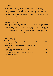#### **SHERRY**

While sherry is often ignored by the larger wine-drinking populace, even an entry-level fino from a great producer shows an astoundingly nuanced and complex character. In today's market where many of the world's finest wines have become prohibitively expensive, sherry still represents one of the wine world's great bargains, as well as being one of the most versatile wines when it comes to food.

#### **UNDER THE FLOR**

Flor is the layer of yeast that lies on top of some sherry wine while they age in barrel. Fino and Manzanilla spend their entire maturation under flor, whereas Amontillado and Palo Cortado begin their lives under flor, being exposed to oxygen once it breaks. These differences make for a diverse range of sherry styles. The flavours imparted are unlike anything else in the wine world, saline in character with notes of sea spray, almonds, and mediterranean herbs.

| Maestro Sierra, Fino,<br>Jerez, Spain NV, 750ml                                          | 56  |
|------------------------------------------------------------------------------------------|-----|
| Lustau, Amontillado, Almacenista 'Jose-Luis Gonzales Obregon',<br>Jerez, Spain NV, 500ml | 70  |
| Lustau, Palo Cortado, Almacenista 'Cayetano del Pino y Cia',<br>Jerez, Spain NV, 500ml   | 70  |
| Equipo Navazos, Palo Cortado, 'La Bota 92',<br>Jerez, Spain NV, 500ml                    | 126 |
| Emilio Hidalgo, Amontillado Viejo, 'El Tresillo 1874',<br>Jerez, Spain NV, 750ml         | 143 |